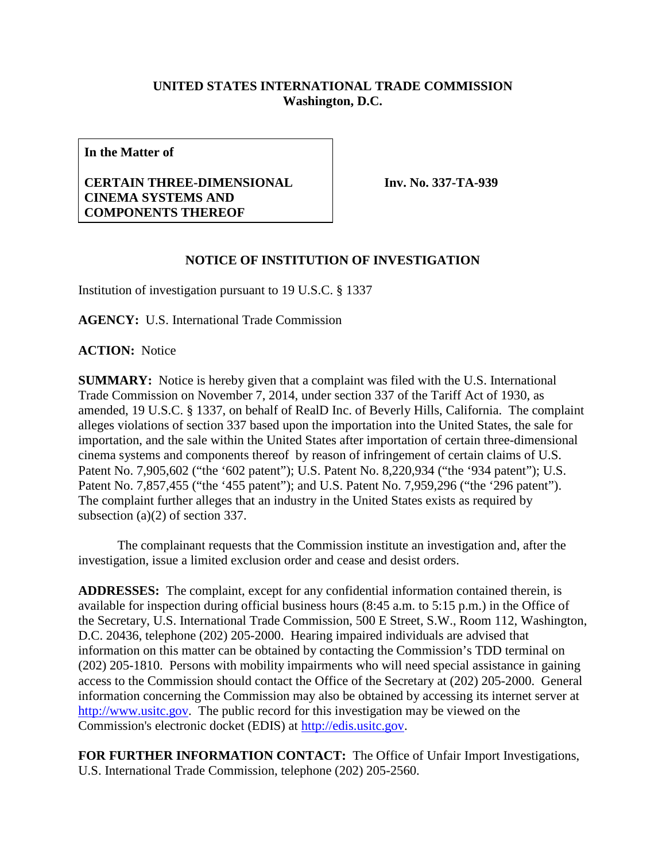## **UNITED STATES INTERNATIONAL TRADE COMMISSION Washington, D.C.**

**In the Matter of**

## **CERTAIN THREE-DIMENSIONAL CINEMA SYSTEMS AND COMPONENTS THEREOF**

**Inv. No. 337-TA-939**

## **NOTICE OF INSTITUTION OF INVESTIGATION**

Institution of investigation pursuant to 19 U.S.C. § 1337

**AGENCY:** U.S. International Trade Commission

**ACTION:** Notice

**SUMMARY:** Notice is hereby given that a complaint was filed with the U.S. International Trade Commission on November 7, 2014, under section 337 of the Tariff Act of 1930, as amended, 19 U.S.C. § 1337, on behalf of RealD Inc. of Beverly Hills, California. The complaint alleges violations of section 337 based upon the importation into the United States, the sale for importation, and the sale within the United States after importation of certain three-dimensional cinema systems and components thereof by reason of infringement of certain claims of U.S. Patent No. 7,905,602 ("the '602 patent"); U.S. Patent No. 8,220,934 ("the '934 patent"); U.S. Patent No. 7,857,455 ("the '455 patent"); and U.S. Patent No. 7,959,296 ("the '296 patent"). The complaint further alleges that an industry in the United States exists as required by subsection (a)(2) of section 337.

The complainant requests that the Commission institute an investigation and, after the investigation, issue a limited exclusion order and cease and desist orders.

**ADDRESSES:** The complaint, except for any confidential information contained therein, is available for inspection during official business hours (8:45 a.m. to 5:15 p.m.) in the Office of the Secretary, U.S. International Trade Commission, 500 E Street, S.W., Room 112, Washington, D.C. 20436, telephone (202) 205-2000. Hearing impaired individuals are advised that information on this matter can be obtained by contacting the Commission's TDD terminal on (202) 205-1810. Persons with mobility impairments who will need special assistance in gaining access to the Commission should contact the Office of the Secretary at (202) 205-2000. General information concerning the Commission may also be obtained by accessing its internet server at [http://www.usitc.gov.](http://www.usitc.gov/) The public record for this investigation may be viewed on the Commission's electronic docket (EDIS) at [http://edis.usitc.gov.](http://edis.usitc.gov/)

**FOR FURTHER INFORMATION CONTACT:** The Office of Unfair Import Investigations, U.S. International Trade Commission, telephone (202) 205-2560.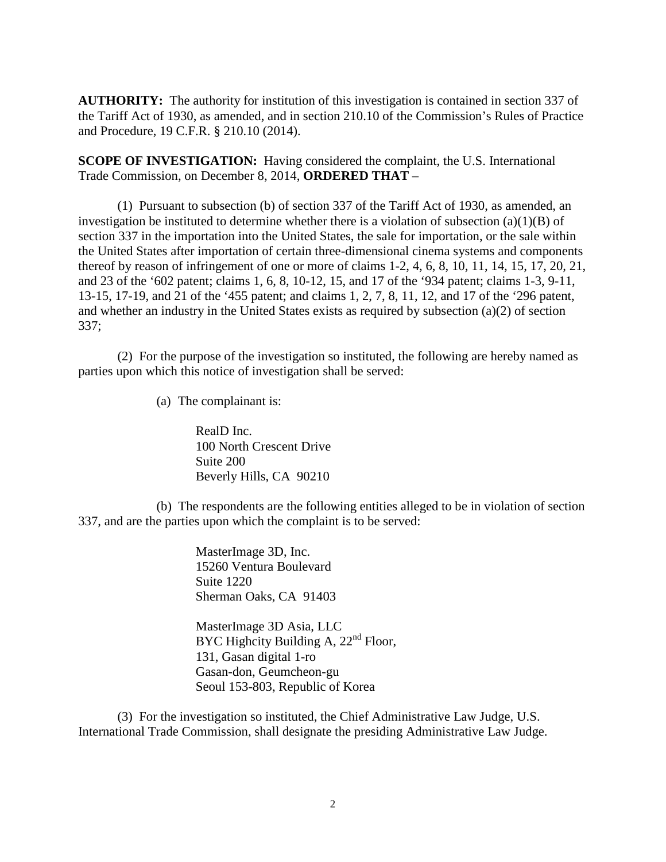**AUTHORITY:** The authority for institution of this investigation is contained in section 337 of the Tariff Act of 1930, as amended, and in section 210.10 of the Commission's Rules of Practice and Procedure, 19 C.F.R. § 210.10 (2014).

**SCOPE OF INVESTIGATION:** Having considered the complaint, the U.S. International Trade Commission, on December 8, 2014, **ORDERED THAT** –

(1) Pursuant to subsection (b) of section 337 of the Tariff Act of 1930, as amended, an investigation be instituted to determine whether there is a violation of subsection  $(a)(1)(B)$  of section 337 in the importation into the United States, the sale for importation, or the sale within the United States after importation of certain three-dimensional cinema systems and components thereof by reason of infringement of one or more of claims 1-2, 4, 6, 8, 10, 11, 14, 15, 17, 20, 21, and 23 of the '602 patent; claims 1, 6, 8, 10-12, 15, and 17 of the '934 patent; claims 1-3, 9-11, 13-15, 17-19, and 21 of the '455 patent; and claims 1, 2, 7, 8, 11, 12, and 17 of the '296 patent, and whether an industry in the United States exists as required by subsection (a)(2) of section 337;

(2) For the purpose of the investigation so instituted, the following are hereby named as parties upon which this notice of investigation shall be served:

(a) The complainant is:

RealD Inc. 100 North Crescent Drive Suite 200 Beverly Hills, CA 90210

(b) The respondents are the following entities alleged to be in violation of section 337, and are the parties upon which the complaint is to be served:

> MasterImage 3D, Inc. 15260 Ventura Boulevard Suite 1220 Sherman Oaks, CA 91403

MasterImage 3D Asia, LLC BYC Highcity Building A,  $22<sup>nd</sup>$  Floor, 131, Gasan digital 1-ro Gasan-don, Geumcheon-gu Seoul 153-803, Republic of Korea

(3) For the investigation so instituted, the Chief Administrative Law Judge, U.S. International Trade Commission, shall designate the presiding Administrative Law Judge.